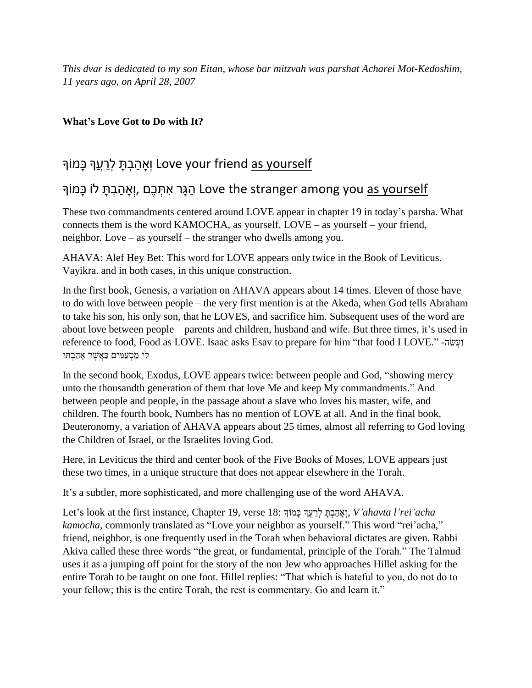*This dvar is dedicated to my son Eitan, whose bar mitzvah was parshat Acharei Mot-Kedoshim, 11 years ago, on April 28, 2007*

## **What's Love Got to Do with It?**

## וְאָהַבְתָּ לְרֵעֲךָּ בָּמוֹךְ Love your friend as yourself

## הַגָּר אִתְּכֶם love the stranger among you <u>as yourself</u>

These two commandments centered around LOVE appear in chapter 19 in today's parsha. What connects them is the word KAMOCHA, as yourself. LOVE – as yourself – your friend, neighbor. Love – as yourself – the stranger who dwells among you.

AHAVA: Alef Hey Bet: This word for LOVE appears only twice in the Book of Leviticus. Vayikra. and in both cases, in this unique construction.

In the first book, Genesis, a variation on AHAVA appears about 14 times. Eleven of those have to do with love between people – the very first mention is at the Akeda, when God tells Abraham to take his son, his only son, that he LOVES, and sacrifice him. Subsequent uses of the word are about love between people – parents and children, husband and wife. But three times, it's used in reference to food, Food as LOVE. Isaac asks Esav to prepare for him "that food I LOVE." -הַעֲשֶׂה לִ י מַ טְ עַ מִ ים כַַּאֲשֶׁ ר אָ הַ בְ תִ י

In the second book, Exodus, LOVE appears twice: between people and God, "showing mercy unto the thousandth generation of them that love Me and keep My commandments." And between people and people, in the passage about a slave who loves his master, wife, and children. The fourth book, Numbers has no mention of LOVE at all. And in the final book, Deuteronomy, a variation of AHAVA appears about 25 times, almost all referring to God loving the Children of Israel, or the Israelites loving God.

Here, in Leviticus the third and center book of the Five Books of Moses, LOVE appears just these two times, in a unique structure that does not appear elsewhere in the Torah.

It's a subtler, more sophisticated, and more challenging use of the word AHAVA.

Let's look at the first instance, Chapter 19, verse 18: ךָוֹמָכ ךֲָע ֵׂר ְל ַָּת ְב ַה ָא ְו, *V'ahavta l'rei'acha kamocha,* commonly translated as "Love your neighbor as yourself." This word "rei'acha," friend, neighbor, is one frequently used in the Torah when behavioral dictates are given. Rabbi Akiva called these three words "the great, or fundamental, principle of the Torah." The Talmud uses it as a jumping off point for the story of the non Jew who approaches Hillel asking for the entire Torah to be taught on one foot. Hillel replies: "That which is hateful to you, do not do to your fellow; this is the entire Torah, the rest is commentary. Go and learn it."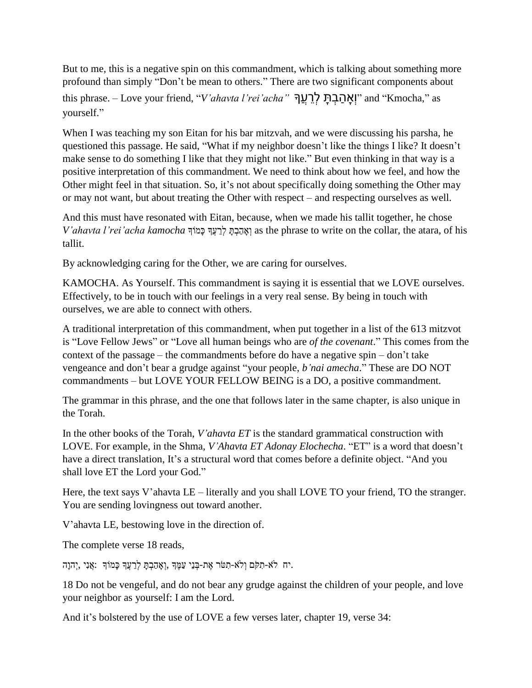But to me, this is a negative spin on this commandment, which is talking about something more profound than simply "Don't be mean to others." There are two significant components about this phrase. – Love your friend, "*V'ahavta l'rei'acha"* ךֲָע ֵר ְל ָָּּת ְב ַה ָּא ְו "and "Kmocha," as yourself."

When I was teaching my son Eitan for his bar mitzvah, and we were discussing his parsha, he questioned this passage. He said, "What if my neighbor doesn't like the things I like? It doesn't make sense to do something I like that they might not like." But even thinking in that way is a positive interpretation of this commandment. We need to think about how we feel, and how the Other might feel in that situation. So, it's not about specifically doing something the Other may or may not want, but about treating the Other with respect – and respecting ourselves as well.

And this must have resonated with Eitan, because, when we made his tallit together, he chose *V'ahavta l'rei'acha kamocha* רְאֲהַבָּתָּ לְרַעֲדְּ כָּמוֹדְּ (אוֹ as the phrase to write on the collar, the atara, of his tallit.

By acknowledging caring for the Other, we are caring for ourselves.

KAMOCHA. As Yourself. This commandment is saying it is essential that we LOVE ourselves. Effectively, to be in touch with our feelings in a very real sense. By being in touch with ourselves, we are able to connect with others.

A traditional interpretation of this commandment, when put together in a list of the 613 mitzvot is "Love Fellow Jews" or "Love all human beings who are *of the covenant*." This comes from the context of the passage – the commandments before do have a negative spin – don't take vengeance and don't bear a grudge against "your people, *b'nai amecha*." These are DO NOT commandments – but LOVE YOUR FELLOW BEING is a DO, a positive commandment.

The grammar in this phrase, and the one that follows later in the same chapter, is also unique in the Torah.

In the other books of the Torah, *V'ahavta ET* is the standard grammatical construction with LOVE. For example, in the Shma, *V'Ahavta ET Adonay Elochecha*. "ET" is a word that doesn't have a direct translation, It's a structural word that comes before a definite object. "And you shall love ET the Lord your God."

Here, the text says V'ahavta LE – literally and you shall LOVE TO your friend, TO the stranger. You are sending lovingness out toward another.

V'ahavta LE, bestowing love in the direction of.

The complete verse 18 reads,

.יח לֹא-תִקֹּם וְלֹא-תִטֹּר אֶת-בְּנֵי עַמֶּךָ ,וְאָהַבְתַּ לְרֵעֲךָ כָּמוֹךְ :אֲנִי ,יִהְוַה.

18 Do not be vengeful, and do not bear any grudge against the children of your people, and love your neighbor as yourself: I am the Lord.

And it's bolstered by the use of LOVE a few verses later, chapter 19, verse 34: